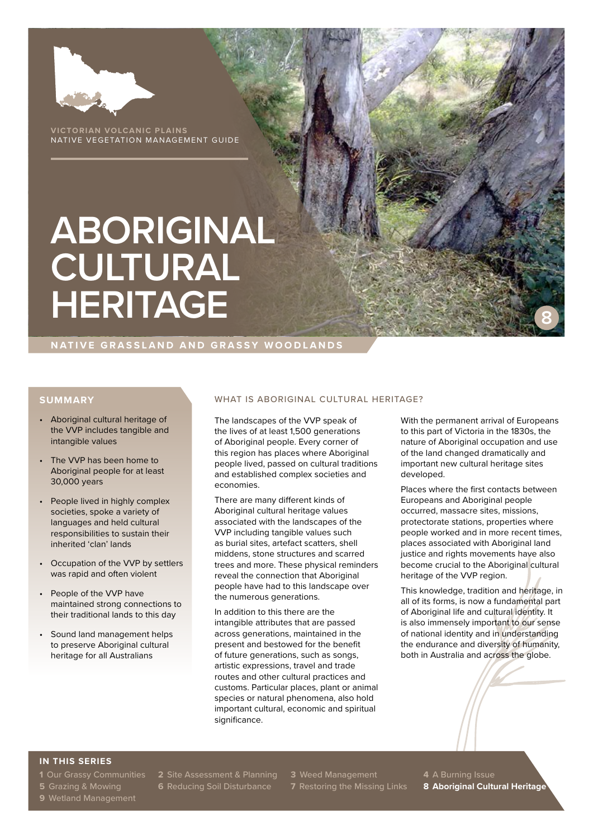

**VICTORIAN VOLCANIC PLAINS** NATIVE VEGETATION MANAGEMENT GUIDE

# **ABORIGINAL CULTURAL HERITAGE**

**NATIVE GRASSLAND AND GRASSY WOODLANDS**

### **SUMMARY**

- Aboriginal cultural heritage of the VVP includes tangible and intangible values
- The VVP has been home to Aboriginal people for at least 30,000 years
- People lived in highly complex societies, spoke a variety of languages and held cultural responsibilities to sustain their inherited 'clan' lands
- Occupation of the VVP by settlers was rapid and often violent
- People of the VVP have maintained strong connections to their traditional lands to this day
- Sound land management helps to preserve Aboriginal cultural heritage for all Australians

### WHAT IS ABORIGINAL CULTURAL HERITAGE?

The landscapes of the VVP speak of the lives of at least 1,500 generations of Aboriginal people. Every corner of this region has places where Aboriginal people lived, passed on cultural traditions and established complex societies and economies.

There are many different kinds of Aboriginal cultural heritage values associated with the landscapes of the VVP including tangible values such as burial sites, artefact scatters, shell middens, stone structures and scarred trees and more. These physical reminders reveal the connection that Aboriginal people have had to this landscape over the numerous generations.

In addition to this there are the intangible attributes that are passed across generations, maintained in the present and bestowed for the benefit of future generations, such as songs, artistic expressions, travel and trade routes and other cultural practices and customs. Particular places, plant or animal species or natural phenomena, also hold important cultural, economic and spiritual significance.

With the permanent arrival of Europeans to this part of Victoria in the 1830s, the nature of Aboriginal occupation and use of the land changed dramatically and important new cultural heritage sites developed.

**8**

Places where the first contacts between Europeans and Aboriginal people occurred, massacre sites, missions, protectorate stations, properties where people worked and in more recent times, places associated with Aboriginal land justice and rights movements have also become crucial to the Aboriginal cultural heritage of the VVP region.

This knowledge, tradition and heritage, in all of its forms, is now a fundamental part of Aboriginal life and cultural identity. It is also immensely important to our sense of national identity and in understanding the endurance and diversity of humanity, both in Australia and across the globe.

### **IN THIS SERIES**

**9** Wetland Management

**1** Our Grassy Communities **2** Site Assessment & Planning **3** Weed Management **4** A Burning Issue

**5** Grazing & Mowing **6** Reducing Soil Disturbance **7** Restoring the Missing Links **8 Aboriginal Cultural Heritage**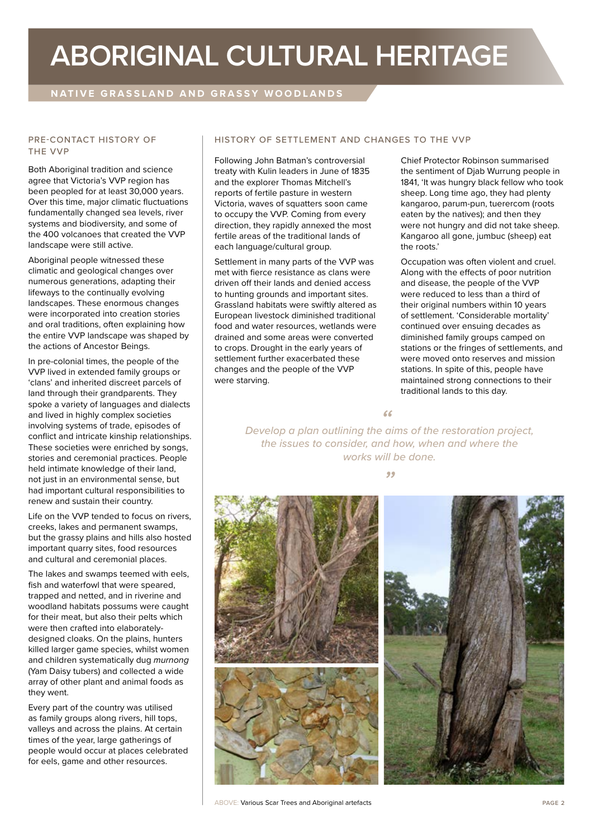## **ABORIGINAL CULTURAL HERITAGE**

## **NATIVE GRASSLAND AND GRASSY WOODLANDS**

### PRE-CONTACT HISTORY OF THE VVP

Both Aboriginal tradition and science agree that Victoria's VVP region has been peopled for at least 30,000 years. Over this time, major climatic fluctuations fundamentally changed sea levels, river systems and biodiversity, and some of the 400 volcanoes that created the VVP landscape were still active.

Aboriginal people witnessed these climatic and geological changes over numerous generations, adapting their lifeways to the continually evolving landscapes. These enormous changes were incorporated into creation stories and oral traditions, often explaining how the entire VVP landscape was shaped by the actions of Ancestor Beings.

In pre-colonial times, the people of the VVP lived in extended family groups or 'clans' and inherited discreet parcels of land through their grandparents. They spoke a variety of languages and dialects and lived in highly complex societies involving systems of trade, episodes of conflict and intricate kinship relationships. These societies were enriched by songs, stories and ceremonial practices. People held intimate knowledge of their land, not just in an environmental sense, but had important cultural responsibilities to renew and sustain their country.

Life on the VVP tended to focus on rivers, creeks, lakes and permanent swamps, but the grassy plains and hills also hosted important quarry sites, food resources and cultural and ceremonial places.

The lakes and swamps teemed with eels, fish and waterfowl that were speared, trapped and netted, and in riverine and woodland habitats possums were caught for their meat, but also their pelts which were then crafted into elaboratelydesigned cloaks. On the plains, hunters killed larger game species, whilst women and children systematically dug *murnong*  (Yam Daisy tubers) and collected a wide array of other plant and animal foods as they went.

Every part of the country was utilised as family groups along rivers, hill tops, valleys and across the plains. At certain times of the year, large gatherings of people would occur at places celebrated for eels, game and other resources.

### HISTORY OF SETTLEMENT AND CHANGES TO THE VVP

Following John Batman's controversial treaty with Kulin leaders in June of 1835 and the explorer Thomas Mitchell's reports of fertile pasture in western Victoria, waves of squatters soon came to occupy the VVP. Coming from every direction, they rapidly annexed the most fertile areas of the traditional lands of each language/cultural group.

Settlement in many parts of the VVP was met with fierce resistance as clans were driven off their lands and denied access to hunting grounds and important sites. Grassland habitats were swiftly altered as European livestock diminished traditional food and water resources, wetlands were drained and some areas were converted to crops. Drought in the early years of settlement further exacerbated these changes and the people of the VVP were starving.

Chief Protector Robinson summarised the sentiment of Djab Wurrung people in 1841, 'It was hungry black fellow who took sheep. Long time ago, they had plenty kangaroo, parum-pun, tuerercom (roots eaten by the natives); and then they were not hungry and did not take sheep. Kangaroo all gone, jumbuc (sheep) eat the roots.'

Occupation was often violent and cruel. Along with the effects of poor nutrition and disease, the people of the VVP were reduced to less than a third of their original numbers within 10 years of settlement. 'Considerable mortality' continued over ensuing decades as diminished family groups camped on stations or the fringes of settlements, and were moved onto reserves and mission stations. In spite of this, people have maintained strong connections to their traditional lands to this day.

*Develop a plan outlining the aims of the restoration project, " the issues to consider, and how, when and where the works will be done.* 

*"*



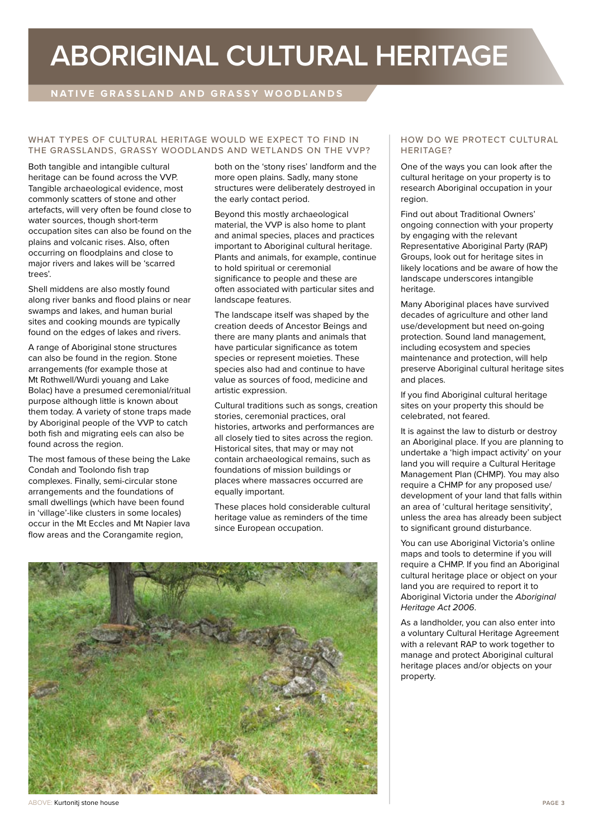## **ABORIGINAL CULTURAL HERITAGE**

## **NATIVE GRASSLAND AND GRASSY WOODLANDS**

### WHAT TYPES OF CULTURAL HERITAGE WOULD WE EXPECT TO FIND IN THE GRASSLANDS, GRASSY WOODLANDS AND WETLANDS ON THE VVP?

Both tangible and intangible cultural heritage can be found across the VVP. Tangible archaeological evidence, most commonly scatters of stone and other artefacts, will very often be found close to water sources, though short-term occupation sites can also be found on the plains and volcanic rises. Also, often occurring on floodplains and close to major rivers and lakes will be 'scarred trees'

Shell middens are also mostly found along river banks and flood plains or near swamps and lakes, and human burial sites and cooking mounds are typically found on the edges of lakes and rivers.

A range of Aboriginal stone structures can also be found in the region. Stone arrangements (for example those at Mt Rothwell/Wurdi youang and Lake Bolac) have a presumed ceremonial/ritual purpose although little is known about them today. A variety of stone traps made by Aboriginal people of the VVP to catch both fish and migrating eels can also be found across the region.

The most famous of these being the Lake Condah and Toolondo fish trap complexes. Finally, semi-circular stone arrangements and the foundations of small dwellings (which have been found in 'village'-like clusters in some locales) occur in the Mt Eccles and Mt Napier lava flow areas and the Corangamite region,

both on the 'stony rises' landform and the more open plains. Sadly, many stone structures were deliberately destroyed in the early contact period.

Beyond this mostly archaeological material, the VVP is also home to plant and animal species, places and practices important to Aboriginal cultural heritage. Plants and animals, for example, continue to hold spiritual or ceremonial significance to people and these are often associated with particular sites and landscape features.

The landscape itself was shaped by the creation deeds of Ancestor Beings and there are many plants and animals that have particular significance as totem species or represent moieties. These species also had and continue to have value as sources of food, medicine and artistic expression.

Cultural traditions such as songs, creation stories, ceremonial practices, oral histories, artworks and performances are all closely tied to sites across the region. Historical sites, that may or may not contain archaeological remains, such as foundations of mission buildings or places where massacres occurred are equally important.

These places hold considerable cultural heritage value as reminders of the time since European occupation.



### HOW DO WE PROTECT CULTURAL HERITAGE?

One of the ways you can look after the cultural heritage on your property is to research Aboriginal occupation in your region.

Find out about Traditional Owners' ongoing connection with your property by engaging with the relevant Representative Aboriginal Party (RAP) Groups, look out for heritage sites in likely locations and be aware of how the landscape underscores intangible heritage.

Many Aboriginal places have survived decades of agriculture and other land use/development but need on-going protection. Sound land management, including ecosystem and species maintenance and protection, will help preserve Aboriginal cultural heritage sites and places.

If you find Aboriginal cultural heritage sites on your property this should be celebrated, not feared.

It is against the law to disturb or destroy an Aboriginal place. If you are planning to undertake a 'high impact activity' on your land you will require a Cultural Heritage Management Plan (CHMP). You may also require a CHMP for any proposed use/ development of your land that falls within an area of 'cultural heritage sensitivity', unless the area has already been subject to significant ground disturbance.

You can use Aboriginal Victoria's online maps and tools to determine if you will require a CHMP. If you find an Aboriginal cultural heritage place or object on your land you are required to report it to Aboriginal Victoria under the *Aboriginal Heritage Act 2006*.

As a landholder, you can also enter into a voluntary Cultural Heritage Agreement with a relevant RAP to work together to manage and protect Aboriginal cultural heritage places and/or objects on your property.

ABOVE: Kurtonitj stone house